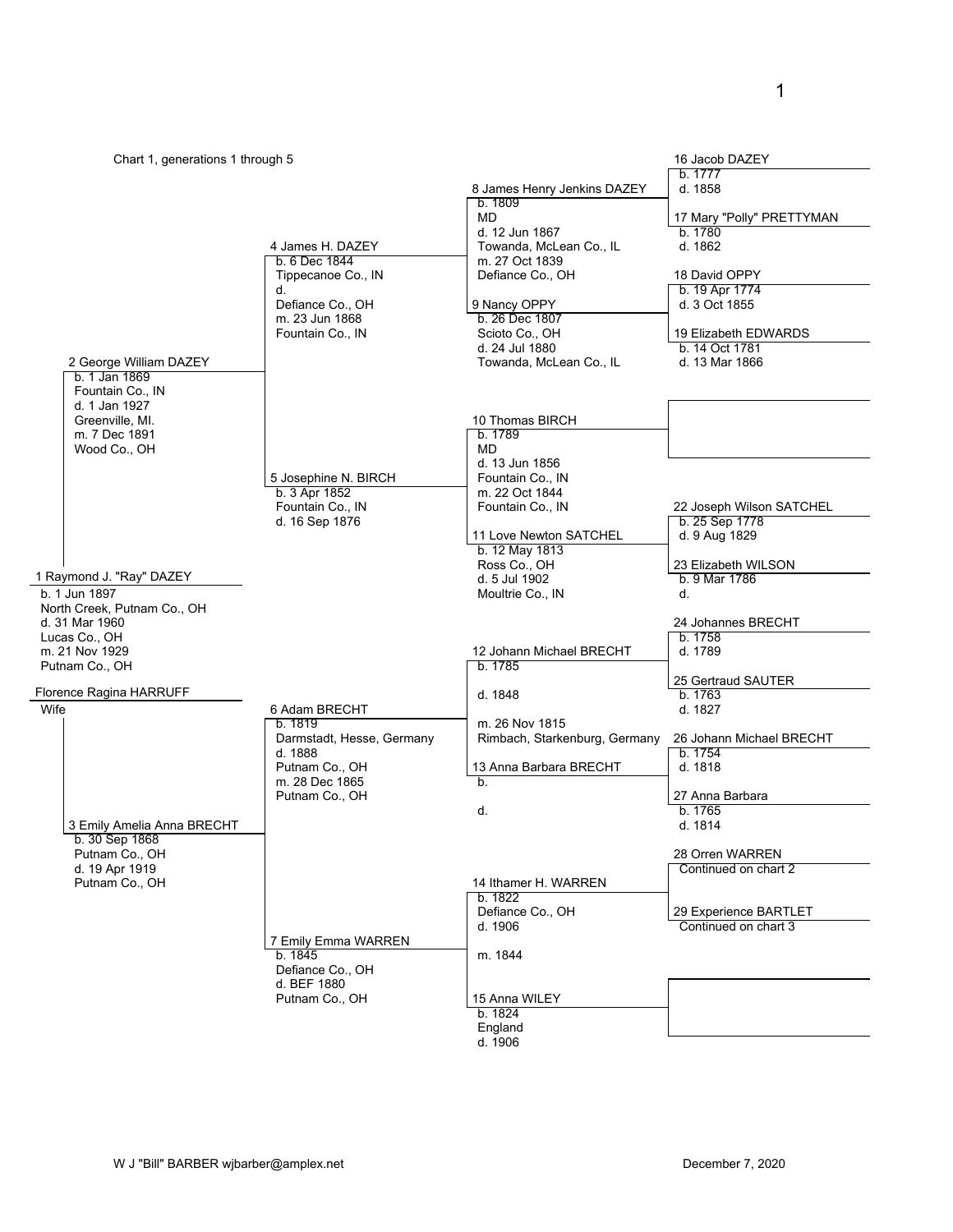| Chart 1, generations 1 through 5             |                                      |                                        | 16 Jacob DAZEY                                |
|----------------------------------------------|--------------------------------------|----------------------------------------|-----------------------------------------------|
|                                              |                                      |                                        | b. 1777                                       |
|                                              |                                      | 8 James Henry Jenkins DAZEY<br>b. 1809 | d. 1858                                       |
|                                              |                                      | <b>MD</b>                              | 17 Mary "Polly" PRETTYMAN                     |
|                                              |                                      | d. 12 Jun 1867                         | b. 1780                                       |
|                                              | 4 James H. DAZEY                     | Towanda, McLean Co., IL                | d. 1862                                       |
|                                              | b. 6 Dec 1844                        | m. 27 Oct 1839                         |                                               |
|                                              | Tippecanoe Co., IN                   | Defiance Co., OH                       | 18 David OPPY                                 |
|                                              | d.<br>Defiance Co., OH               | 9 Nancy OPPY                           | b. 19 Apr 1774<br>d. 3 Oct 1855               |
|                                              | m. 23 Jun 1868                       | b. 26 Dec 1807                         |                                               |
|                                              | Fountain Co., IN                     | Scioto Co., OH                         | 19 Elizabeth EDWARDS                          |
|                                              |                                      | d. 24 Jul 1880                         | b. 14 Oct 1781                                |
| 2 George William DAZEY                       |                                      | Towanda, McLean Co., IL                | d. 13 Mar 1866                                |
| b. 1 Jan 1869<br>Fountain Co., IN            |                                      |                                        |                                               |
| d. 1 Jan 1927                                |                                      |                                        |                                               |
| Greenville, MI.                              |                                      | 10 Thomas BIRCH                        |                                               |
| m. 7 Dec 1891                                |                                      | b. 1789                                |                                               |
| Wood Co., OH                                 |                                      | <b>MD</b>                              |                                               |
|                                              | 5 Josephine N. BIRCH                 | d. 13 Jun 1856<br>Fountain Co., IN     |                                               |
|                                              | b. 3 Apr 1852                        | m. 22 Oct 1844                         |                                               |
|                                              | Fountain Co., IN                     | Fountain Co., IN                       | 22 Joseph Wilson SATCHEL                      |
|                                              | d. 16 Sep 1876                       |                                        | b. 25 Sep 1778                                |
|                                              |                                      | 11 Love Newton SATCHEL                 | d. 9 Aug 1829                                 |
|                                              |                                      | b. 12 May 1813<br>Ross Co., OH         | 23 Elizabeth WILSON                           |
| 1 Raymond J. "Ray" DAZEY                     |                                      | d. 5 Jul 1902                          | b. 9 Mar 1786                                 |
| b. 1 Jun 1897                                |                                      | Moultrie Co., IN                       | d.                                            |
| North Creek, Putnam Co., OH                  |                                      |                                        |                                               |
| d. 31 Mar 1960                               |                                      |                                        | 24 Johannes BRECHT                            |
| Lucas Co., OH<br>m. 21 Nov 1929              |                                      |                                        | b. 1758<br>d. 1789                            |
| Putnam Co., OH                               |                                      | 12 Johann Michael BRECHT<br>b. 1785    |                                               |
|                                              |                                      |                                        | 25 Gertraud SAUTER                            |
| Florence Ragina HARRUFF                      |                                      | d. 1848                                | b. 1763                                       |
| Wife                                         | 6 Adam BRECHT                        |                                        | d. 1827                                       |
|                                              | b. 1819                              | m. 26 Nov 1815                         |                                               |
|                                              | Darmstadt, Hesse, Germany<br>d. 1888 | Rimbach, Starkenburg, Germany          | 26 Johann Michael BRECHT<br>b. 1754           |
|                                              | Putnam Co., OH                       | 13 Anna Barbara BRECHT                 | d. 1818                                       |
|                                              | m. 28 Dec 1865                       | b.                                     |                                               |
|                                              | Putnam Co., OH                       |                                        | 27 Anna Barbara                               |
|                                              |                                      | d.                                     | b. 1765                                       |
| 3 Emily Amelia Anna BRECHT<br>b. 30 Sep 1868 |                                      |                                        | d. 1814                                       |
| Putnam Co., OH                               |                                      |                                        | 28 Orren WARREN                               |
| d. 19 Apr 1919                               |                                      |                                        | Continued on chart 2                          |
| Putnam Co., OH                               |                                      | 14 Ithamer H. WARREN                   |                                               |
|                                              |                                      | b. 1822                                |                                               |
|                                              |                                      | Defiance Co., OH<br>d. 1906            | 29 Experience BARTLET<br>Continued on chart 3 |
|                                              | 7 Emily Emma WARREN                  |                                        |                                               |
|                                              | b. 1845                              | m. 1844                                |                                               |
|                                              | Defiance Co., OH                     |                                        |                                               |
|                                              | d. BEF 1880                          |                                        |                                               |
|                                              | Putnam Co., OH                       | 15 Anna WILEY<br>b. 1824               |                                               |
|                                              |                                      | England                                |                                               |

d. 1906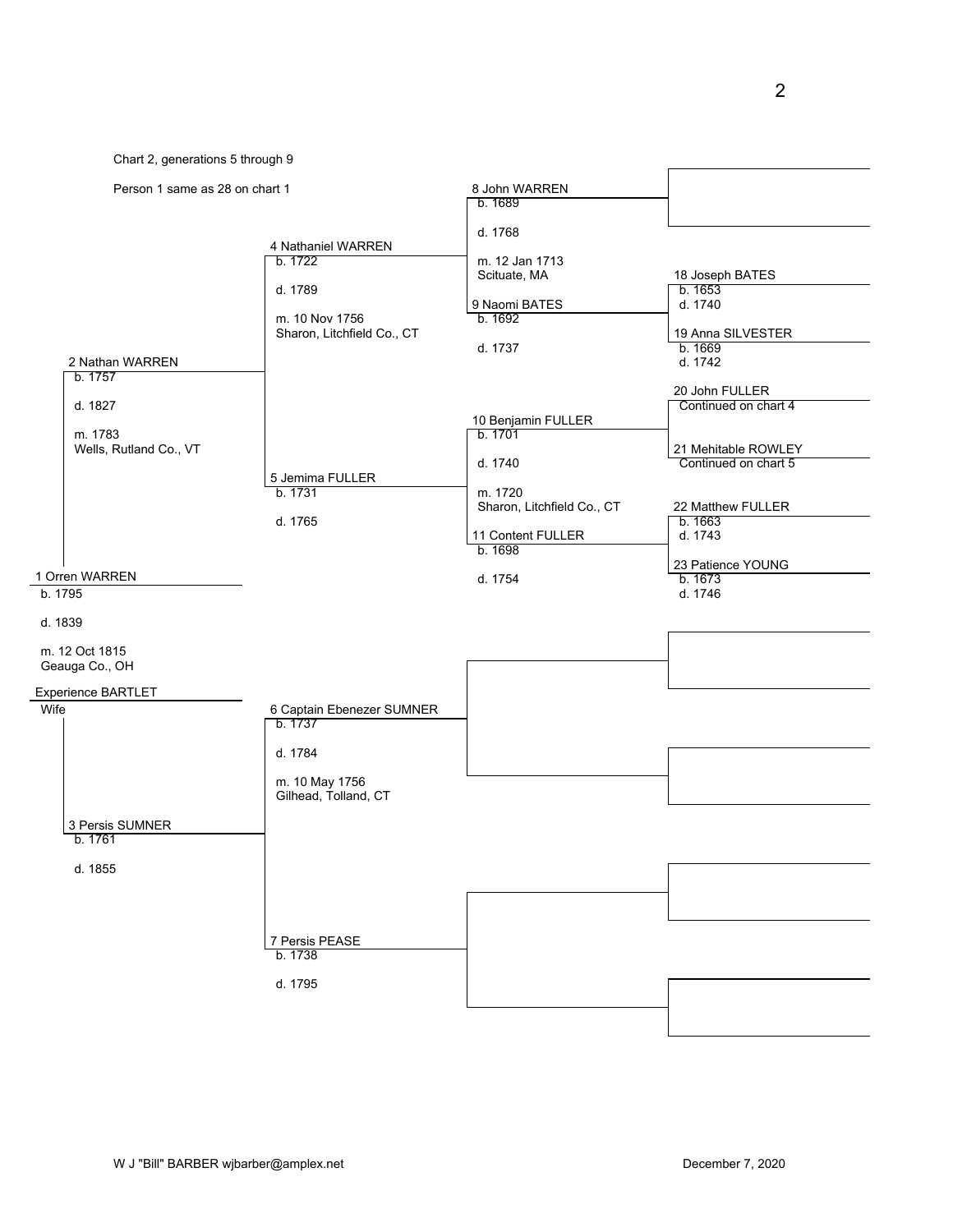Chart 2, generations 5 through 9

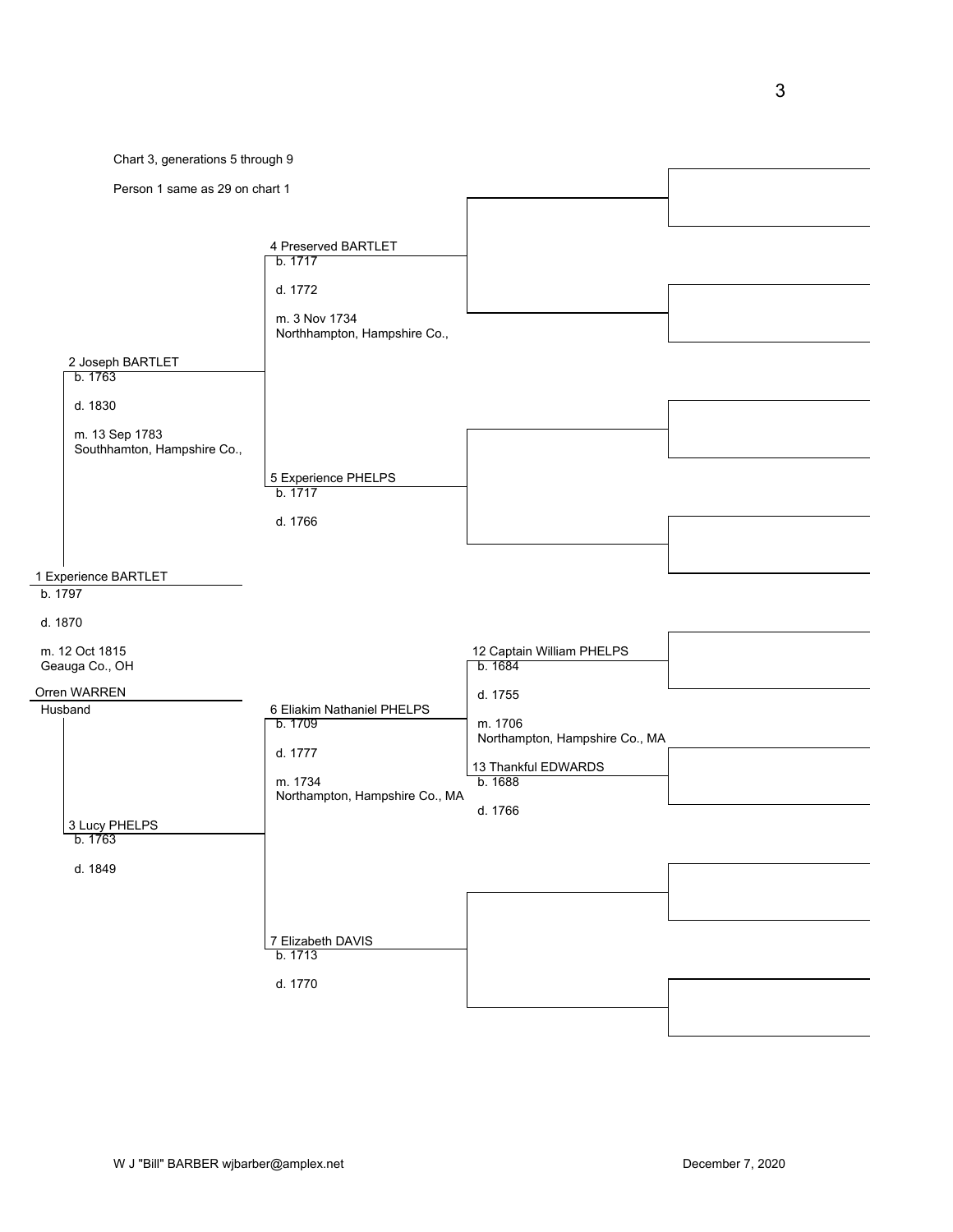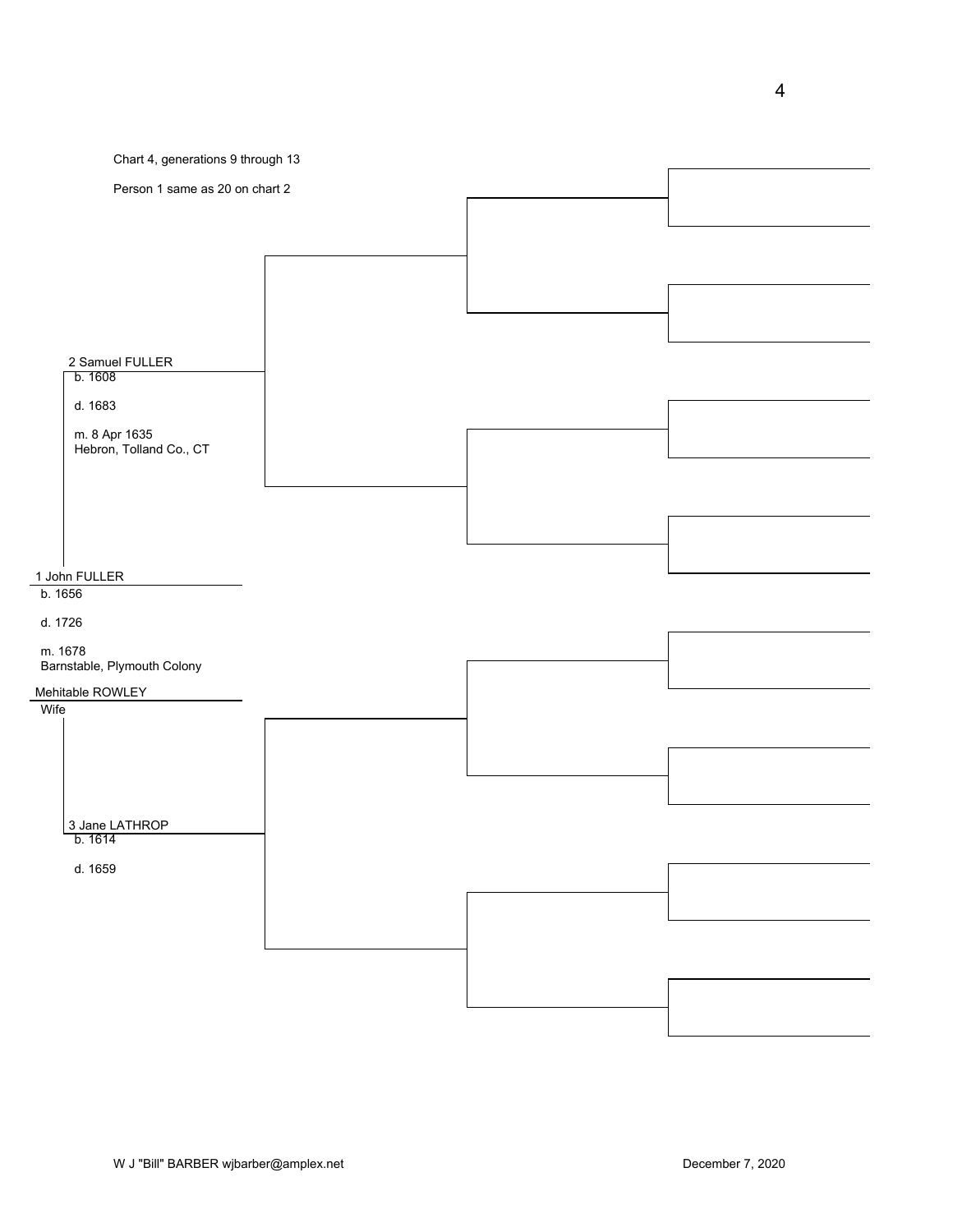